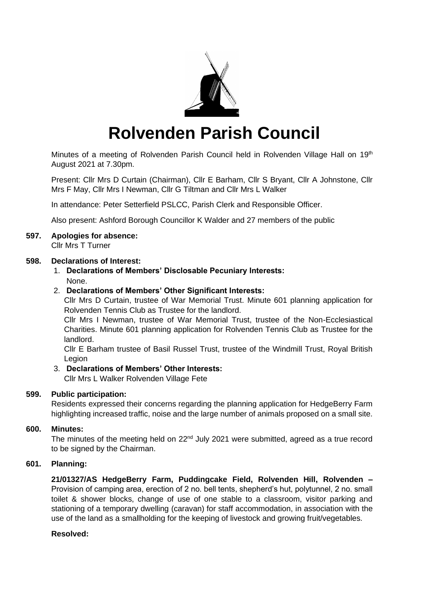

# **Rolvenden Parish Council**

Minutes of a meeting of Rolvenden Parish Council held in Rolvenden Village Hall on 19<sup>th</sup> August 2021 at 7.30pm.

Present: Cllr Mrs D Curtain (Chairman), Cllr E Barham, Cllr S Bryant, Cllr A Johnstone, Cllr Mrs F May, Cllr Mrs I Newman, Cllr G Tiltman and Cllr Mrs L Walker

In attendance: Peter Setterfield PSLCC, Parish Clerk and Responsible Officer.

Also present: Ashford Borough Councillor K Walder and 27 members of the public

# **597. Apologies for absence:**

Cllr Mrs T Turner

# **598. Declarations of Interest:**

1. **Declarations of Members' Disclosable Pecuniary Interests:** None.

# 2. **Declarations of Members' Other Significant Interests:**

Cllr Mrs D Curtain, trustee of War Memorial Trust. Minute 601 planning application for Rolvenden Tennis Club as Trustee for the landlord.

Cllr Mrs I Newman, trustee of War Memorial Trust, trustee of the Non-Ecclesiastical Charities. Minute 601 planning application for Rolvenden Tennis Club as Trustee for the landlord.

Cllr E Barham trustee of Basil Russel Trust, trustee of the Windmill Trust, Royal British Legion

## 3. **Declarations of Members' Other Interests:**

Cllr Mrs L Walker Rolvenden Village Fete

# **599. Public participation:**

Residents expressed their concerns regarding the planning application for HedgeBerry Farm highlighting increased traffic, noise and the large number of animals proposed on a small site.

## **600. Minutes:**

The minutes of the meeting held on 22<sup>nd</sup> July 2021 were submitted, agreed as a true record to be signed by the Chairman.

## **601. Planning:**

**21/01327/AS HedgeBerry Farm, Puddingcake Field, Rolvenden Hill, Rolvenden –** Provision of camping area, erection of 2 no. bell tents, shepherd's hut, polytunnel, 2 no. small toilet & shower blocks, change of use of one stable to a classroom, visitor parking and stationing of a temporary dwelling (caravan) for staff accommodation, in association with the use of the land as a smallholding for the keeping of livestock and growing fruit/vegetables.

## **Resolved:**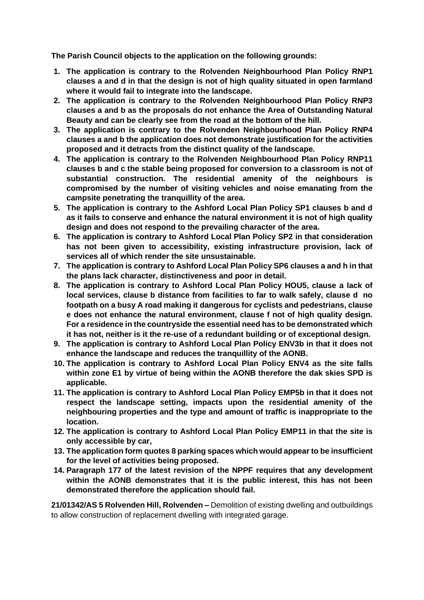**The Parish Council objects to the application on the following grounds:**

- **1. The application is contrary to the Rolvenden Neighbourhood Plan Policy RNP1 clauses a and d in that the design is not of high quality situated in open farmland where it would fail to integrate into the landscape.**
- **2. The application is contrary to the Rolvenden Neighbourhood Plan Policy RNP3 clauses a and b as the proposals do not enhance the Area of Outstanding Natural Beauty and can be clearly see from the road at the bottom of the hill.**
- **3. The application is contrary to the Rolvenden Neighbourhood Plan Policy RNP4 clauses a and b the application does not demonstrate justification for the activities proposed and it detracts from the distinct quality of the landscape.**
- **4. The application is contrary to the Rolvenden Neighbourhood Plan Policy RNP11 clauses b and c the stable being proposed for conversion to a classroom is not of substantial construction. The residential amenity of the neighbours is compromised by the number of visiting vehicles and noise emanating from the campsite penetrating the tranquillity of the area.**
- **5. The application is contrary to the Ashford Local Plan Policy SP1 clauses b and d as it fails to conserve and enhance the natural environment it is not of high quality design and does not respond to the prevailing character of the area.**
- **6. The application is contrary to Ashford Local Plan Policy SP2 in that consideration has not been given to accessibility, existing infrastructure provision, lack of services all of which render the site unsustainable.**
- **7. The application is contrary to Ashford Local Plan Policy SP6 clauses a and h in that the plans lack character, distinctiveness and poor in detail.**
- **8. The application is contrary to Ashford Local Plan Policy HOU5, clause a lack of local services, clause b distance from facilities to far to walk safely, clause d no footpath on a busy A road making it dangerous for cyclists and pedestrians, clause e does not enhance the natural environment, clause f not of high quality design. For a residence in the countryside the essential need has to be demonstrated which it has not, neither is it the re-use of a redundant building or of exceptional design.**
- **9. The application is contrary to Ashford Local Plan Policy ENV3b in that it does not enhance the landscape and reduces the tranquillity of the AONB.**
- **10. The application is contrary to Ashford Local Plan Policy ENV4 as the site falls within zone E1 by virtue of being within the AONB therefore the dak skies SPD is applicable.**
- **11. The application is contrary to Ashford Local Plan Policy EMP5b in that it does not respect the landscape setting, impacts upon the residential amenity of the neighbouring properties and the type and amount of traffic is inappropriate to the location.**
- **12. The application is contrary to Ashford Local Plan Policy EMP11 in that the site is only accessible by car,**
- **13. The application form quotes 8 parking spaces which would appear to be insufficient for the level of activities being proposed.**
- **14. Paragraph 177 of the latest revision of the NPPF requires that any development within the AONB demonstrates that it is the public interest, this has not been demonstrated therefore the application should fail.**

**21/01342/AS 5 Rolvenden Hill, Rolvenden –** Demolition of existing dwelling and outbuildings to allow construction of replacement dwelling with integrated garage.